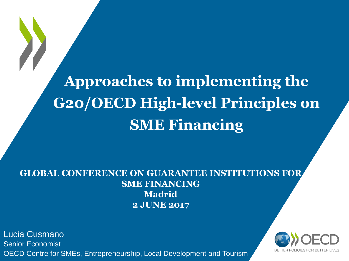**Approaches to implementing the G20/OECD High-level Principles on SME Financing**

#### **GLOBAL CONFERENCE ON GUARANTEE INSTITUTIONS FOR SME FINANCING Madrid 2 JUNE 2017**

Lucia Cusmano Senior Economist OECD Centre for SMEs, Entrepreneurship, Local Development and Tourism

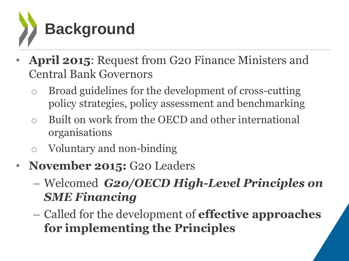

- **April 2015**: Request from G20 Finance Ministers and Central Bank Governors
	- o Broad guidelines for the development of cross-cutting policy strategies, policy assessment and benchmarking
	- o Built on work from the OECD and other international organisations
	- o Voluntary and non-binding
- **November 2015:** G20 Leaders
	- Welcomed *G20/OECD High-Level Principles on SME Financing*
	- Called for the development of **effective approaches for implementing the Principles**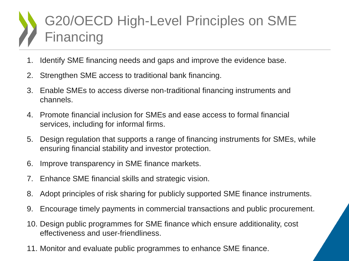### G20/OECD High-Level Principles on SME Financing

- 1. Identify SME financing needs and gaps and improve the evidence base.
- 2. Strengthen SME access to traditional bank financing.
- 3. Enable SMEs to access diverse non-traditional financing instruments and channels.
- 4. Promote financial inclusion for SMEs and ease access to formal financial services, including for informal firms.
- 5. Design regulation that supports a range of financing instruments for SMEs, while ensuring financial stability and investor protection.
- 6. Improve transparency in SME finance markets.
- 7. Enhance SME financial skills and strategic vision.
- 8. Adopt principles of risk sharing for publicly supported SME finance instruments.
- 9. Encourage timely payments in commercial transactions and public procurement.
- 10. Design public programmes for SME finance which ensure additionality, cost effectiveness and user-friendliness.
- 11. Monitor and evaluate public programmes to enhance SME finance.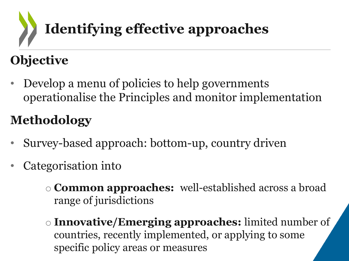# **Identifying effective approaches**

### **Objective**

• Develop a menu of policies to help governments operationalise the Principles and monitor implementation

### **Methodology**

- Survey-based approach: bottom-up, country driven
- Categorisation into
	- o **Common approaches:** well-established across a broad range of jurisdictions
	- o **Innovative/Emerging approaches:** limited number of countries, recently implemented, or applying to some specific policy areas or measures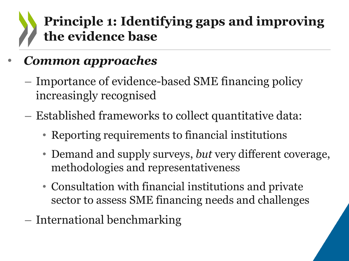### **Principle 1: Identifying gaps and improving the evidence base**

### • *Common approaches*

- Importance of evidence-based SME financing policy increasingly recognised
- Established frameworks to collect quantitative data:
	- Reporting requirements to financial institutions
	- Demand and supply surveys, *but* very different coverage, methodologies and representativeness
	- Consultation with financial institutions and private sector to assess SME financing needs and challenges
- International benchmarking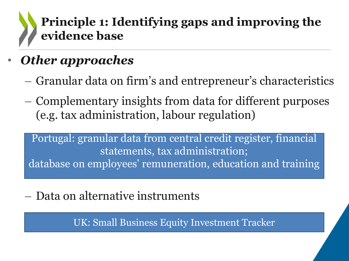### **Principle 1: Identifying gaps and improving the evidence base**

- *Other approaches*
	- Granular data on firm's and entrepreneur's characteristics
	- Complementary insights from data for different purposes (e.g. tax administration, labour regulation)

Portugal: granular data from central credit register, financial statements, tax administration; database on employees' remuneration, education and training

– Data on alternative instruments

UK: Small Business Equity Investment Tracker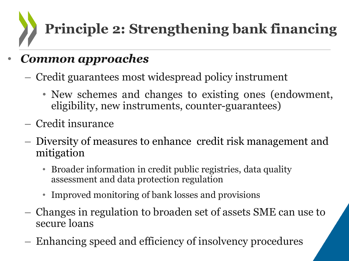**Principle 2: Strengthening bank financing**

### • *Common approaches*

- Credit guarantees most widespread policy instrument
	- New schemes and changes to existing ones (endowment, eligibility, new instruments, counter-guarantees)
- Credit insurance
- Diversity of measures to enhance credit risk management and mitigation
	- Broader information in credit public registries, data quality assessment and data protection regulation
	- Improved monitoring of bank losses and provisions
- Changes in regulation to broaden set of assets SME can use to secure loans
- Enhancing speed and efficiency of insolvency procedures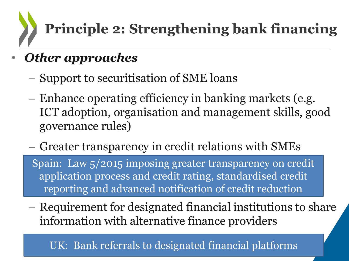# **Principle 2: Strengthening bank financing**

- *Other approaches*
	- Support to securitisation of SME loans
	- Enhance operating efficiency in banking markets (e.g. ICT adoption, organisation and management skills, good governance rules)
	- Greater transparency in credit relations with SMEs

Spain: Law 5/2015 imposing greater transparency on credit application process and credit rating, standardised credit reporting and advanced notification of credit reduction

– Requirement for designated financial institutions to share information with alternative finance providers

UK: Bank referrals to designated financial platforms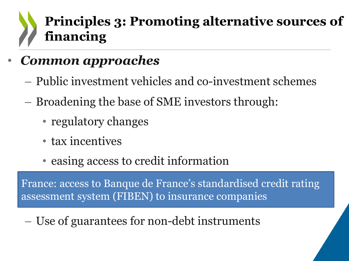### **Principles 3: Promoting alternative sources of financing**

### • *Common approaches*

- Public investment vehicles and co-investment schemes
- Broadening the base of SME investors through:
	- regulatory changes
	- tax incentives
	- easing access to credit information

France: access to Banque de France's standardised credit rating assessment system (FIBEN) to insurance companies

– Use of guarantees for non-debt instruments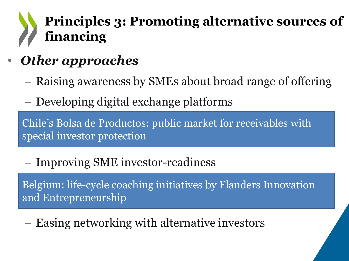### **Principles 3: Promoting alternative sources of financing**

### • *Other approaches*

- Raising awareness by SMEs about broad range of offering
- Developing digital exchange platforms

Chile's Bolsa de Productos: public market for receivables with special investor protection

– Improving SME investor-readiness

Belgium: life-cycle coaching initiatives by Flanders Innovation and Entrepreneurship

– Easing networking with alternative investors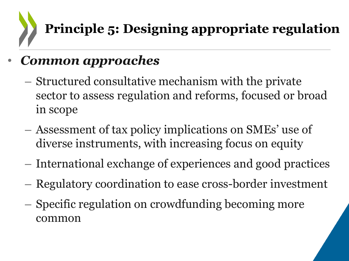## **Principle 5: Designing appropriate regulation**

### • *Common approaches*

- Structured consultative mechanism with the private sector to assess regulation and reforms, focused or broad in scope
- Assessment of tax policy implications on SMEs' use of diverse instruments, with increasing focus on equity
- International exchange of experiences and good practices
- Regulatory coordination to ease cross-border investment
- Specific regulation on crowdfunding becoming more common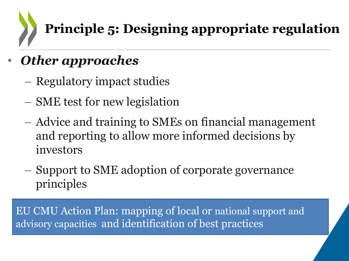### **Principle 5: Designing appropriate regulation**

- *Other approaches*
	- Regulatory impact studies
	- SME test for new legislation
	- Advice and training to SMEs on financial management and reporting to allow more informed decisions by investors
	- Support to SME adoption of corporate governance principles

EU CMU Action Plan: mapping of local or national support and advisory capacities and identification of best practices